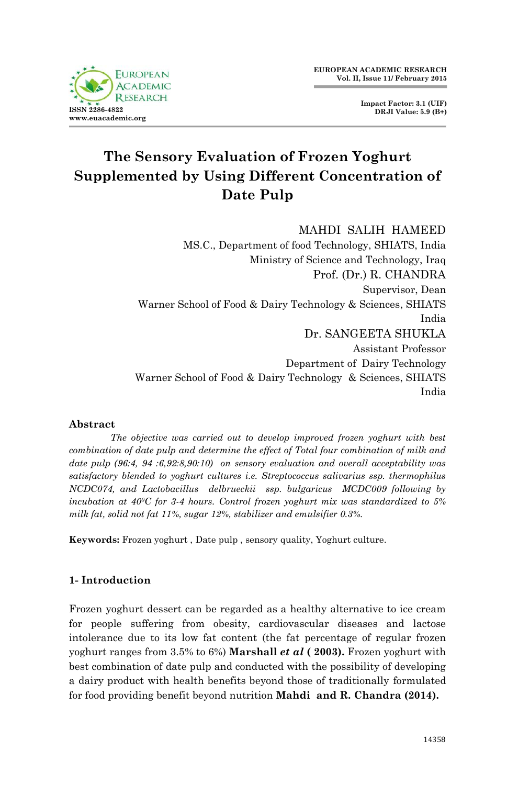

**Impact Factor: 3.1 (UIF) DRJI Value: 5.9 (B+)**

# **The Sensory Evaluation of Frozen Yoghurt Supplemented by Using Different Concentration of Date Pulp**

MAHDI SALIH HAMEED MS.C., Department of food Technology, SHIATS, India Ministry of Science and Technology, Iraq Prof. (Dr.) R. CHANDRA Supervisor, Dean Warner School of Food & Dairy Technology & Sciences, SHIATS India Dr. SANGEETA SHUKLA Assistant Professor Department of Dairy Technology Warner School of Food & Dairy Technology & Sciences, SHIATS India

# **Abstract**

*The objective was carried out to develop improved frozen yoghurt with best combination of date pulp and determine the effect of Total four combination of milk and date pulp (96:4, 94 :6,92:8,90:10) on sensory evaluation and overall acceptability was satisfactory blended to yoghurt cultures i.e. Streptococcus salivarius ssp. thermophilus NCDC074, and Lactobacillus delbrueckii ssp. bulgaricus MCDC009 following by incubation at 400C for 3-4 hours. Control frozen yoghurt mix was standardized to 5% milk fat, solid not fat 11%, sugar 12%, stabilizer and emulsifier 0.3%.* 

**Keywords:** Frozen yoghurt , Date pulp , sensory quality, Yoghurt culture.

# **1- Introduction**

Frozen yoghurt dessert can be regarded as a healthy alternative to ice cream for people suffering from obesity, cardiovascular diseases and lactose intolerance due to its low fat content (the fat percentage of regular frozen yoghurt ranges from 3.5% to 6%) **Marshall** *et al* **( 2003).** Frozen yoghurt with best combination of date pulp and conducted with the possibility of developing a dairy product with health benefits beyond those of traditionally formulated for food providing benefit beyond nutrition **Mahdi and R. Chandra (2014).**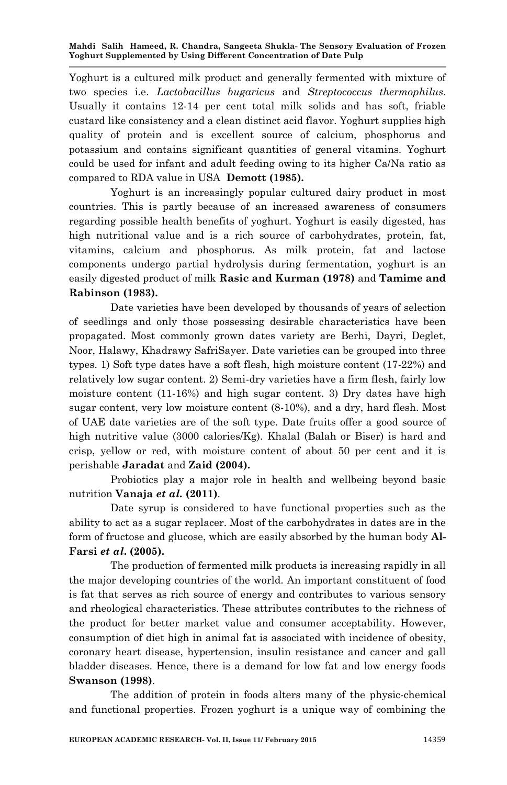**Mahdi Salih Hameed, R. Chandra, Sangeeta Shukla- The Sensory Evaluation of Frozen Yoghurt Supplemented by Using Different Concentration of Date Pulp**

Yoghurt is a cultured milk product and generally fermented with mixture of two species i.e. *Lactobacillus bugaricus* and *Streptococcus thermophilus*. Usually it contains 12-14 per cent total milk solids and has soft, friable custard like consistency and a clean distinct acid flavor. Yoghurt supplies high quality of protein and is excellent source of calcium, phosphorus and potassium and contains significant quantities of general vitamins. Yoghurt could be used for infant and adult feeding owing to its higher Ca/Na ratio as compared to RDA value in USA **Demott (1985).**

Yoghurt is an increasingly popular cultured dairy product in most countries. This is partly because of an increased awareness of consumers regarding possible health benefits of yoghurt. Yoghurt is easily digested, has high nutritional value and is a rich source of carbohydrates, protein, fat, vitamins, calcium and phosphorus. As milk protein, fat and lactose components undergo partial hydrolysis during fermentation, yoghurt is an easily digested product of milk **Rasic and Kurman (1978)** and **Tamime and Rabinson (1983).**

Date varieties have been developed by thousands of years of selection of seedlings and only those possessing desirable characteristics have been propagated. Most commonly grown dates variety are Berhi, Dayri, Deglet, Noor, Halawy, Khadrawy SafriSayer. Date varieties can be grouped into three types. 1) Soft type dates have a soft flesh, high moisture content (17-22%) and relatively low sugar content. 2) Semi-dry varieties have a firm flesh, fairly low moisture content (11-16%) and high sugar content. 3) Dry dates have high sugar content, very low moisture content (8-10%), and a dry, hard flesh. Most of UAE date varieties are of the soft type. Date fruits offer a good source of high nutritive value (3000 calories/Kg). Khalal (Balah or Biser) is hard and crisp, yellow or red, with moisture content of about 50 per cent and it is perishable **Jaradat** and **Zaid (2004).**

Probiotics play a major role in health and wellbeing beyond basic nutrition **Vanaja** *et al.* **(2011)**.

Date syrup is considered to have functional properties such as the ability to act as a sugar replacer. Most of the carbohydrates in dates are in the form of fructose and glucose, which are easily absorbed by the human body **Al-Farsi** *et al***. (2005).**

The production of fermented milk products is increasing rapidly in all the major developing countries of the world. An important constituent of food is fat that serves as rich source of energy and contributes to various sensory and rheological characteristics. These attributes contributes to the richness of the product for better market value and consumer acceptability. However, consumption of diet high in animal fat is associated with incidence of obesity, coronary heart disease, hypertension, insulin resistance and cancer and gall bladder diseases. Hence, there is a demand for low fat and low energy foods **Swanson (1998)**.

The addition of protein in foods alters many of the physic-chemical and functional properties. Frozen yoghurt is a unique way of combining the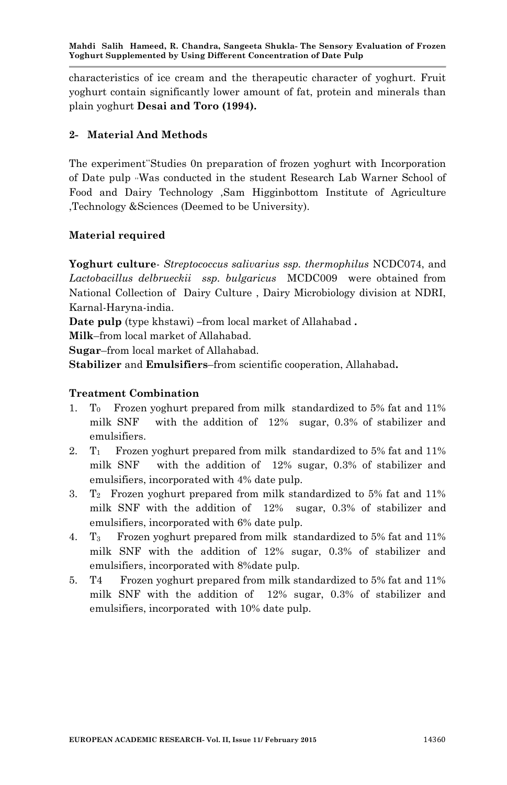**Mahdi Salih Hameed, R. Chandra, Sangeeta Shukla- The Sensory Evaluation of Frozen Yoghurt Supplemented by Using Different Concentration of Date Pulp**

characteristics of ice cream and the therapeutic character of yoghurt. Fruit yoghurt contain significantly lower amount of fat, protein and minerals than plain yoghurt **Desai and Toro (1994).**

# **2- Material And Methods**

The experiment Studies On preparation of frozen yoghurt with Incorporation of Date pulp ,,Was conducted in the student Research Lab Warner School of Food and Dairy Technology ,Sam Higginbottom Institute of Agriculture ,Technology &Sciences (Deemed to be University).

# **Material required**

**Yoghurt culture**- *Streptococcus salivarius ssp. thermophilus* NCDC074, and *Lactobacillus delbrueckii ssp. bulgaricus* MCDC009 were obtained from National Collection of Dairy Culture , Dairy Microbiology division at NDRI, Karnal-Haryna-india.

**Date pulp** (type khstawi) **–**from local market of Allahabad **.**

**Milk**–from local market of Allahabad.

**Sugar**–from local market of Allahabad.

**Stabilizer** and **Emulsifiers**–from scientific cooperation, Allahabad**.**

## **Treatment Combination**

- 1. T0 Frozen yoghurt prepared from milk standardized to 5% fat and 11% milk SNF with the addition of 12% sugar, 0.3% of stabilizer and emulsifiers.
- 2. T1 Frozen yoghurt prepared from milk standardized to 5% fat and 11% milk SNF with the addition of 12% sugar, 0.3% of stabilizer and emulsifiers, incorporated with 4% date pulp.
- 3.  $T_2$  Frozen yoghurt prepared from milk standardized to 5% fat and 11% milk SNF with the addition of 12% sugar, 0.3% of stabilizer and emulsifiers, incorporated with 6% date pulp.
- 4. T3 Frozen yoghurt prepared from milk standardized to 5% fat and 11% milk SNF with the addition of 12% sugar, 0.3% of stabilizer and emulsifiers, incorporated with 8%date pulp.
- 5. T4 Frozen yoghurt prepared from milk standardized to 5% fat and 11% milk SNF with the addition of 12% sugar, 0.3% of stabilizer and emulsifiers, incorporated with 10% date pulp.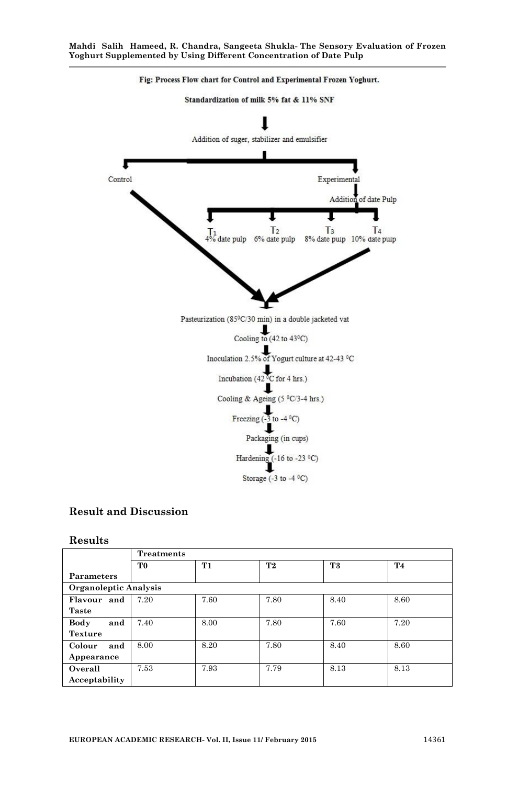

# **Result and Discussion**

#### **Results**

|                       | <b>Treatments</b> |           |                |                |           |
|-----------------------|-------------------|-----------|----------------|----------------|-----------|
|                       | T <sub>0</sub>    | <b>T1</b> | T <sub>2</sub> | T <sub>3</sub> | <b>T4</b> |
| <b>Parameters</b>     |                   |           |                |                |           |
| Organoleptic Analysis |                   |           |                |                |           |
| Flavour and           | 7.20              | 7.60      | 7.80           | 8.40           | 8.60      |
| <b>Taste</b>          |                   |           |                |                |           |
| Body<br>and           | 7.40              | 8.00      | 7.80           | 7.60           | 7.20      |
| <b>Texture</b>        |                   |           |                |                |           |
| Colour<br>and         | 8.00              | 8.20      | 7.80           | 8.40           | 8.60      |
| Appearance            |                   |           |                |                |           |
| Overall               | 7.53              | 7.93      | 7.79           | 8.13           | 8.13      |
| Acceptability         |                   |           |                |                |           |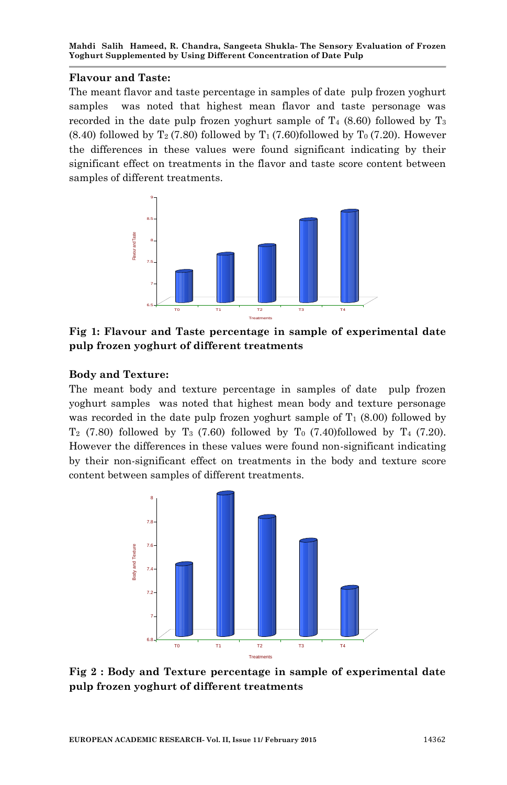#### **Flavour and Taste:**

The meant flavor and taste percentage in samples of date pulp frozen yoghurt samples was noted that highest mean flavor and taste personage was recorded in the date pulp frozen yoghurt sample of  $T_4$  (8.60) followed by  $T_3$  $(8.40)$  followed by T<sub>2</sub> (7.80) followed by T<sub>1</sub> (7.60)followed by T<sub>0</sub> (7.20). However the differences in these values were found significant indicating by their significant effect on treatments in the flavor and taste score content between samples of different treatments.



**Fig 1: Flavour and Taste percentage in sample of experimental date pulp frozen yoghurt of different treatments** 

# **Body and Texture:**

The meant body and texture percentage in samples of date pulp frozen yoghurt samples was noted that highest mean body and texture personage was recorded in the date pulp frozen yoghurt sample of  $T_1$  (8.00) followed by T<sub>2</sub> (7.80) followed by T<sub>3</sub> (7.60) followed by T<sub>0</sub> (7.40)followed by T<sub>4</sub> (7.20). However the differences in these values were found non-significant indicating by their non-significant effect on treatments in the body and texture score content between samples of different treatments.



**Fig 2 : Body and Texture percentage in sample of experimental date pulp frozen yoghurt of different treatments**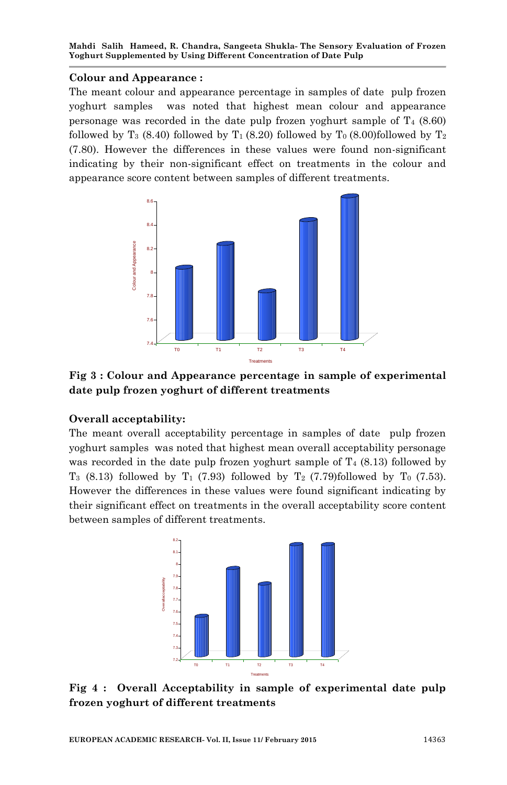#### **Colour and Appearance :**

The meant colour and appearance percentage in samples of date pulp frozen yoghurt samples was noted that highest mean colour and appearance personage was recorded in the date pulp frozen yoghurt sample of  $T_4$  (8.60) followed by T<sub>3</sub> (8.40) followed by T<sub>1</sub> (8.20) followed by T<sub>0</sub> (8.00)followed by T<sub>2</sub> (7.80). However the differences in these values were found non-significant indicating by their non-significant effect on treatments in the colour and appearance score content between samples of different treatments.



**Fig 3 : Colour and Appearance percentage in sample of experimental date pulp frozen yoghurt of different treatments** 

# **Overall acceptability:**

The meant overall acceptability percentage in samples of date pulp frozen yoghurt samples was noted that highest mean overall acceptability personage was recorded in the date pulp frozen yoghurt sample of  $T_4$  (8.13) followed by  $T_3$  (8.13) followed by  $T_1$  (7.93) followed by  $T_2$  (7.79)followed by  $T_0$  (7.53). However the differences in these values were found significant indicating by their significant effect on treatments in the overall acceptability score content between samples of different treatments.



**Fig 4 : Overall Acceptability in sample of experimental date pulp frozen yoghurt of different treatments**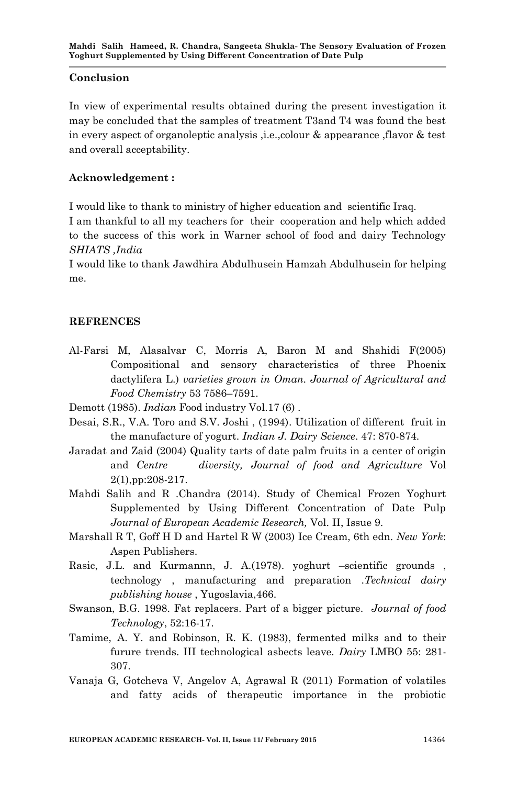#### **Conclusion**

In view of experimental results obtained during the present investigation it may be concluded that the samples of treatment T3and T4 was found the best in every aspect of organoleptic analysis ,i.e.,colour & appearance ,flavor & test and overall acceptability.

## **Acknowledgement :**

I would like to thank to ministry of higher education and scientific Iraq.

I am thankful to all my teachers for their cooperation and help which added to the success of this work in Warner school of food and dairy Technology *SHIATS ,India*

I would like to thank Jawdhira Abdulhusein Hamzah Abdulhusein for helping me.

# **REFRENCES**

- Al-Farsi M, Alasalvar C, Morris A, Baron M and Shahidi F(2005) Compositional and sensory characteristics of three Phoenix dactylifera L.) *varieties grown in Oman. Journal of Agricultural and Food Chemistry* 53 7586–7591.
- Demott (1985). *Indian* Food industry Vol.17 (6) .
- Desai, S.R., V.A. Toro and S.V. Joshi , (1994). Utilization of different fruit in the manufacture of yogurt. *Indian J. Dairy Science*. 47: 870-874.
- Jaradat and Zaid (2004) Quality tarts of date palm fruits in a center of origin and *Centre diversity, Journal of food and Agriculture* Vol 2(1),pp:208-217.
- Mahdi Salih and R .Chandra (2014). Study of Chemical Frozen Yoghurt Supplemented by Using Different Concentration of Date Pulp *Journal of European Academic Research,* Vol. II, Issue 9.
- Marshall R T, Goff H D and Hartel R W (2003) Ice Cream, 6th edn. *New York*: Aspen Publishers.
- Rasic, J.L. and Kurmannn, J. A.(1978). yoghurt –scientific grounds , technology , manufacturing and preparation .*Technical dairy publishing house* , Yugoslavia,466.
- Swanson, B.G. 1998. Fat replacers. Part of a bigger picture. *Journal of food Technology*, 52:16-17.
- Tamime, A. Y. and Robinson, R. K. (1983), fermented milks and to their furure trends. III technological asbects leave*. Dairy* LMBO 55: 281- 307.
- Vanaja G, Gotcheva V, Angelov A, Agrawal R (2011) Formation of volatiles and fatty acids of therapeutic importance in the probiotic